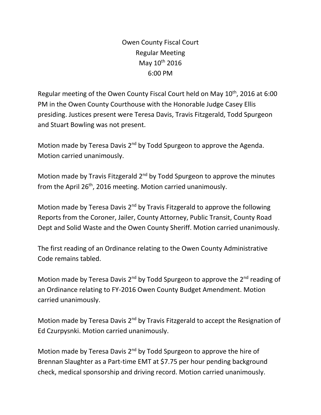Owen County Fiscal Court Regular Meeting May 10<sup>th</sup> 2016 6:00 PM

Regular meeting of the Owen County Fiscal Court held on May 10<sup>th</sup>, 2016 at 6:00 PM in the Owen County Courthouse with the Honorable Judge Casey Ellis presiding. Justices present were Teresa Davis, Travis Fitzgerald, Todd Spurgeon and Stuart Bowling was not present.

Motion made by Teresa Davis 2<sup>nd</sup> by Todd Spurgeon to approve the Agenda. Motion carried unanimously.

Motion made by Travis Fitzgerald  $2<sup>nd</sup>$  by Todd Spurgeon to approve the minutes from the April 26<sup>th</sup>, 2016 meeting. Motion carried unanimously.

Motion made by Teresa Davis 2nd by Travis Fitzgerald to approve the following Reports from the Coroner, Jailer, County Attorney, Public Transit, County Road Dept and Solid Waste and the Owen County Sheriff. Motion carried unanimously.

The first reading of an Ordinance relating to the Owen County Administrative Code remains tabled.

Motion made by Teresa Davis  $2^{nd}$  by Todd Spurgeon to approve the  $2^{nd}$  reading of an Ordinance relating to FY-2016 Owen County Budget Amendment. Motion carried unanimously.

Motion made by Teresa Davis 2<sup>nd</sup> by Travis Fitzgerald to accept the Resignation of Ed Czurpysnki. Motion carried unanimously.

Motion made by Teresa Davis 2<sup>nd</sup> by Todd Spurgeon to approve the hire of Brennan Slaughter as a Part-time EMT at \$7.75 per hour pending background check, medical sponsorship and driving record. Motion carried unanimously.